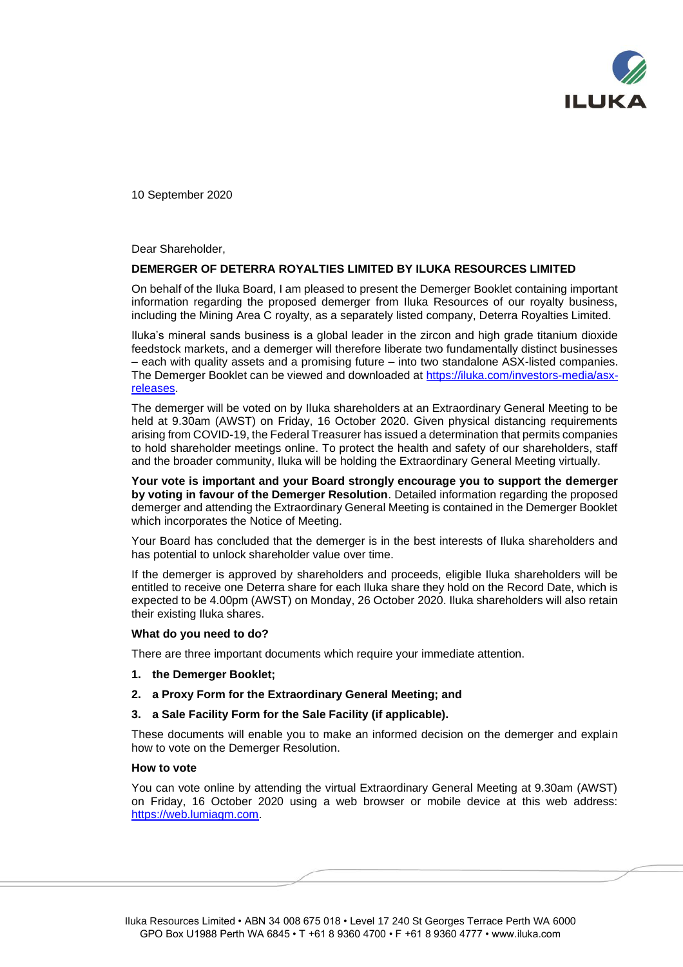

10 September 2020

Dear Shareholder,

### **DEMERGER OF DETERRA ROYALTIES LIMITED BY ILUKA RESOURCES LIMITED**

On behalf of the Iluka Board, I am pleased to present the Demerger Booklet containing important information regarding the proposed demerger from Iluka Resources of our royalty business, including the Mining Area C royalty, as a separately listed company, Deterra Royalties Limited.

Iluka's mineral sands business is a global leader in the zircon and high grade titanium dioxide feedstock markets, and a demerger will therefore liberate two fundamentally distinct businesses – each with quality assets and a promising future – into two standalone ASX-listed companies. The Demerger Booklet can be viewed and downloaded at [https://iluka.com/investors-media/asx](https://iluka.com/investors-media/asx-releases)[releases.](https://iluka.com/investors-media/asx-releases)

The demerger will be voted on by Iluka shareholders at an Extraordinary General Meeting to be held at 9.30am (AWST) on Friday, 16 October 2020. Given physical distancing requirements arising from COVID-19, the Federal Treasurer has issued a determination that permits companies to hold shareholder meetings online. To protect the health and safety of our shareholders, staff and the broader community, Iluka will be holding the Extraordinary General Meeting virtually.

**Your vote is important and your Board strongly encourage you to support the demerger by voting in favour of the Demerger Resolution**. Detailed information regarding the proposed demerger and attending the Extraordinary General Meeting is contained in the Demerger Booklet which incorporates the Notice of Meeting.

Your Board has concluded that the demerger is in the best interests of Iluka shareholders and has potential to unlock shareholder value over time.

If the demerger is approved by shareholders and proceeds, eligible Iluka shareholders will be entitled to receive one Deterra share for each Iluka share they hold on the Record Date, which is expected to be 4.00pm (AWST) on Monday, 26 October 2020. Iluka shareholders will also retain their existing Iluka shares.

#### **What do you need to do?**

There are three important documents which require your immediate attention.

- **1. the Demerger Booklet;**
- **2. a Proxy Form for the Extraordinary General Meeting; and**
- **3. a Sale Facility Form for the Sale Facility (if applicable).**

These documents will enable you to make an informed decision on the demerger and explain how to vote on the Demerger Resolution.

### **How to vote**

You can vote online by attending the virtual Extraordinary General Meeting at 9.30am (AWST) on Friday, 16 October 2020 using a web browser or mobile device at this web address: [https://web.lumiagm.com.](https://web.lumiagm.com/)